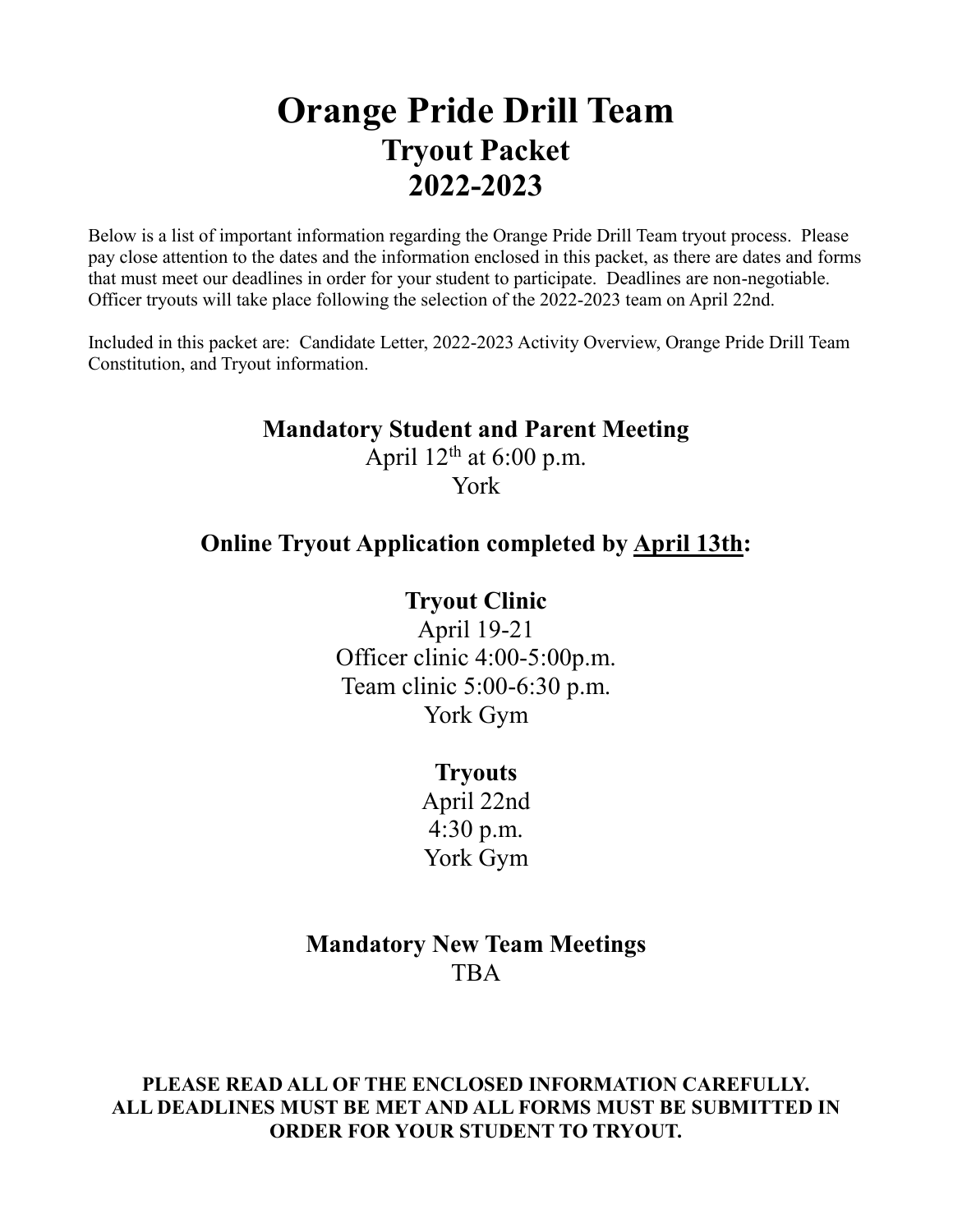# **Orange Pride Drill Team Tryout Packet 2022-2023**

Below is a list of important information regarding the Orange Pride Drill Team tryout process. Please pay close attention to the dates and the information enclosed in this packet, as there are dates and forms that must meet our deadlines in order for your student to participate. Deadlines are non-negotiable. Officer tryouts will take place following the selection of the 2022-2023 team on April 22nd.

Included in this packet are: Candidate Letter, 2022-2023 Activity Overview, Orange Pride Drill Team Constitution, and Tryout information.

# **Mandatory Student and Parent Meeting**

April  $12<sup>th</sup>$  at 6:00 p.m. York

# **Online Tryout Application completed by April 13th:**

# **Tryout Clinic**

April 19-21 Officer clinic 4:00-5:00p.m. Team clinic 5:00-6:30 p.m. York Gym

### **Tryouts**

April 22nd 4:30 p.m. York Gym

# **Mandatory New Team Meetings** TBA

**PLEASE READ ALL OF THE ENCLOSED INFORMATION CAREFULLY. ALL DEADLINES MUST BE MET AND ALL FORMS MUST BE SUBMITTED IN ORDER FOR YOUR STUDENT TO TRYOUT.**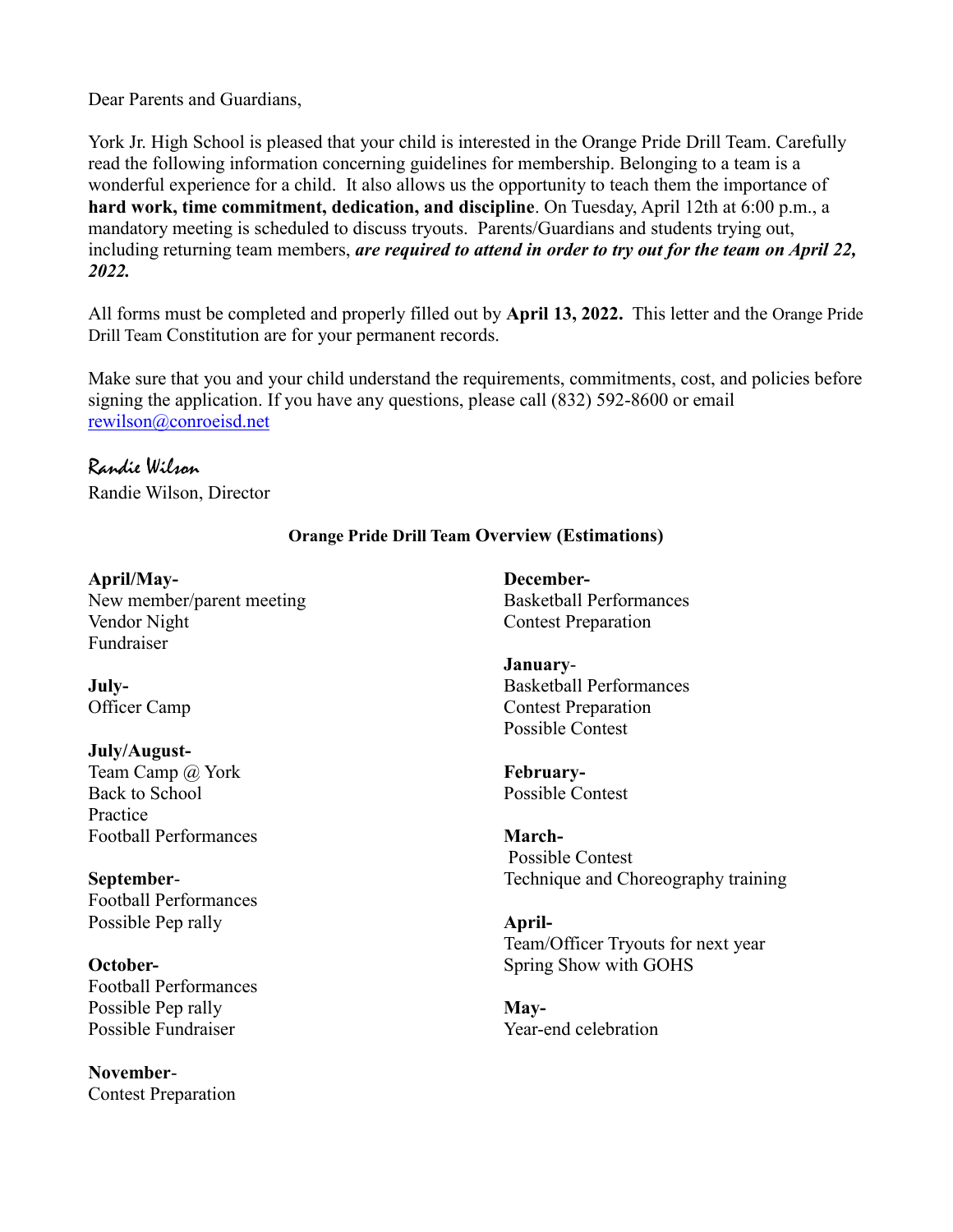Dear Parents and Guardians,

York Jr. High School is pleased that your child is interested in the Orange Pride Drill Team. Carefully read the following information concerning guidelines for membership. Belonging to a team is a wonderful experience for a child. It also allows us the opportunity to teach them the importance of **hard work, time commitment, dedication, and discipline**. On Tuesday, April 12th at 6:00 p.m., a mandatory meeting is scheduled to discuss tryouts. Parents/Guardians and students trying out, including returning team members, *are required to attend in order to try out for the team on April 22, 2022.*

All forms must be completed and properly filled out by **April 13, 2022.** This letter and the Orange Pride Drill Team Constitution are for your permanent records.

Make sure that you and your child understand the requirements, commitments, cost, and policies before signing the application. If you have any questions, please call (832) 592-8600 or email rewilson@conroeisd.net

# Randie Wilson

Randie Wilson, Director

### **Orange Pride Drill Team Overview (Estimations)**

**April/May-**New member/parent meeting Vendor Night Fundraiser

**July-**Officer Camp

**July/August-**Team Camp @ York Back to School Practice Football Performances

**September**-Football Performances Possible Pep rally

**October-**Football Performances Possible Pep rally Possible Fundraiser

**November**-Contest Preparation **December-**Basketball Performances Contest Preparation

**January**-Basketball Performances Contest Preparation Possible Contest

**February-**Possible Contest

**March-**Possible Contest Technique and Choreography training

**April-**Team/Officer Tryouts for next year Spring Show with GOHS

**May-**Year-end celebration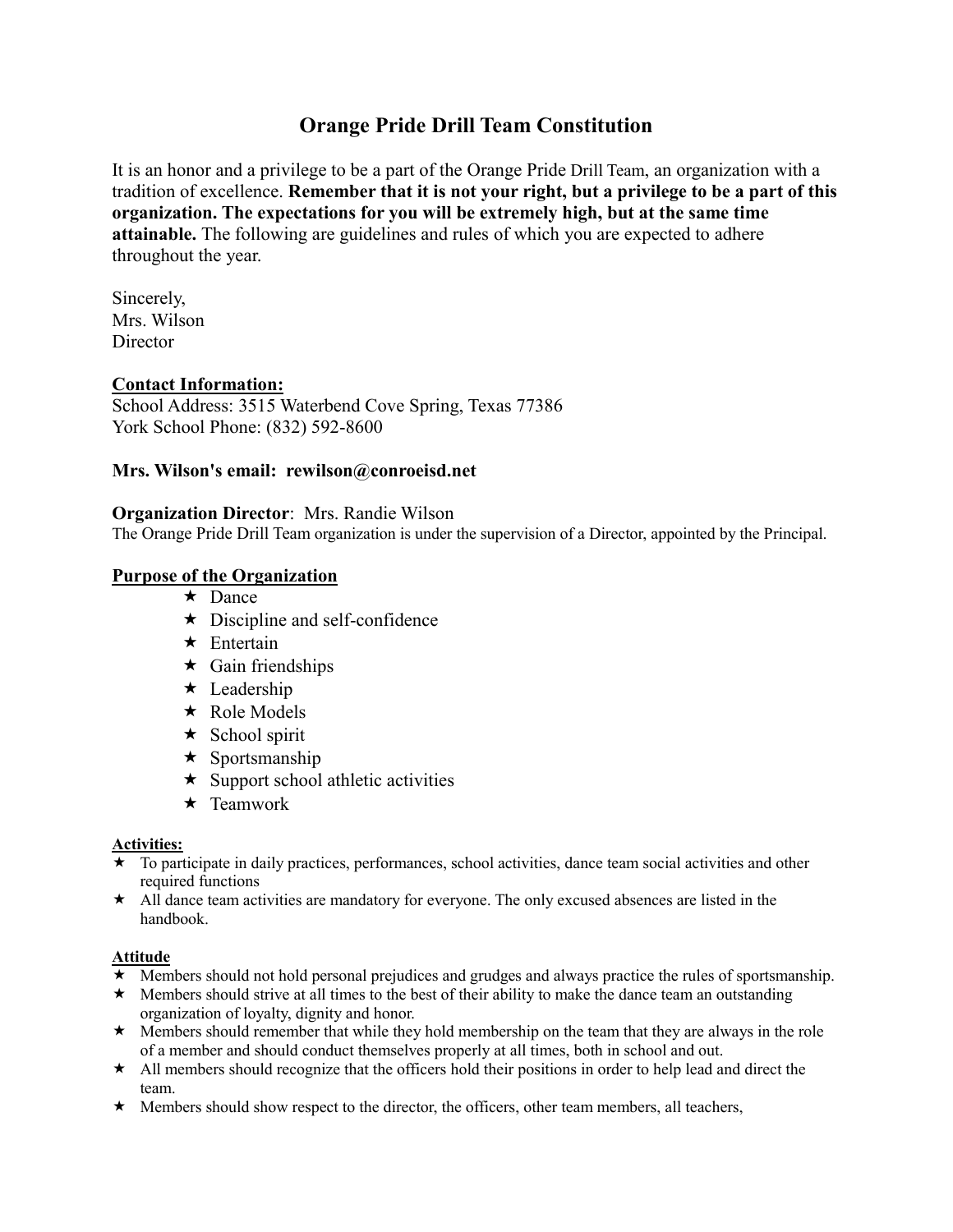# **Orange Pride Drill Team Constitution**

It is an honor and a privilege to be a part of the Orange Pride Drill Team, an organization with a tradition of excellence. **Remember that it is not your right, but a privilege to be a part of this organization. The expectations for you will be extremely high, but at the same time attainable.** The following are guidelines and rules of which you are expected to adhere throughout the year.

Sincerely, Mrs. Wilson **Director** 

### **Contact Information:**

School Address: 3515 Waterbend Cove Spring, Texas 77386 York School Phone: (832) 592-8600

### **Mrs. Wilson's email: rewilson@conroeisd.net**

#### **Organization Director**: Mrs. Randie Wilson

The Orange Pride Drill Team organization is under the supervision of a Director, appointed by the Principal.

### **Purpose of the Organization**

- $\star$  Dance
- $\star$  Discipline and self-confidence
- $\star$  Entertain
- $\star$  Gain friendships
- $\star$  Leadership
- ★ Role Models
- $\star$  School spirit
- $\star$  Sportsmanship
- $\star$  Support school athletic activities
- $\star$  Teamwork

#### **Activities:**

- $\star$  To participate in daily practices, performances, school activities, dance team social activities and other required functions
- $\star$  All dance team activities are mandatory for everyone. The only excused absences are listed in the handbook.

#### **Attitude**

- Members should not hold personal prejudices and grudges and always practice the rules of sportsmanship.
- $\star$  Members should strive at all times to the best of their ability to make the dance team an outstanding organization of loyalty, dignity and honor.
- $\star$  Members should remember that while they hold membership on the team that they are always in the role of a member and should conduct themselves properly at all times, both in school and out.
- $\star$  All members should recognize that the officers hold their positions in order to help lead and direct the team.
- $\star$  Members should show respect to the director, the officers, other team members, all teachers,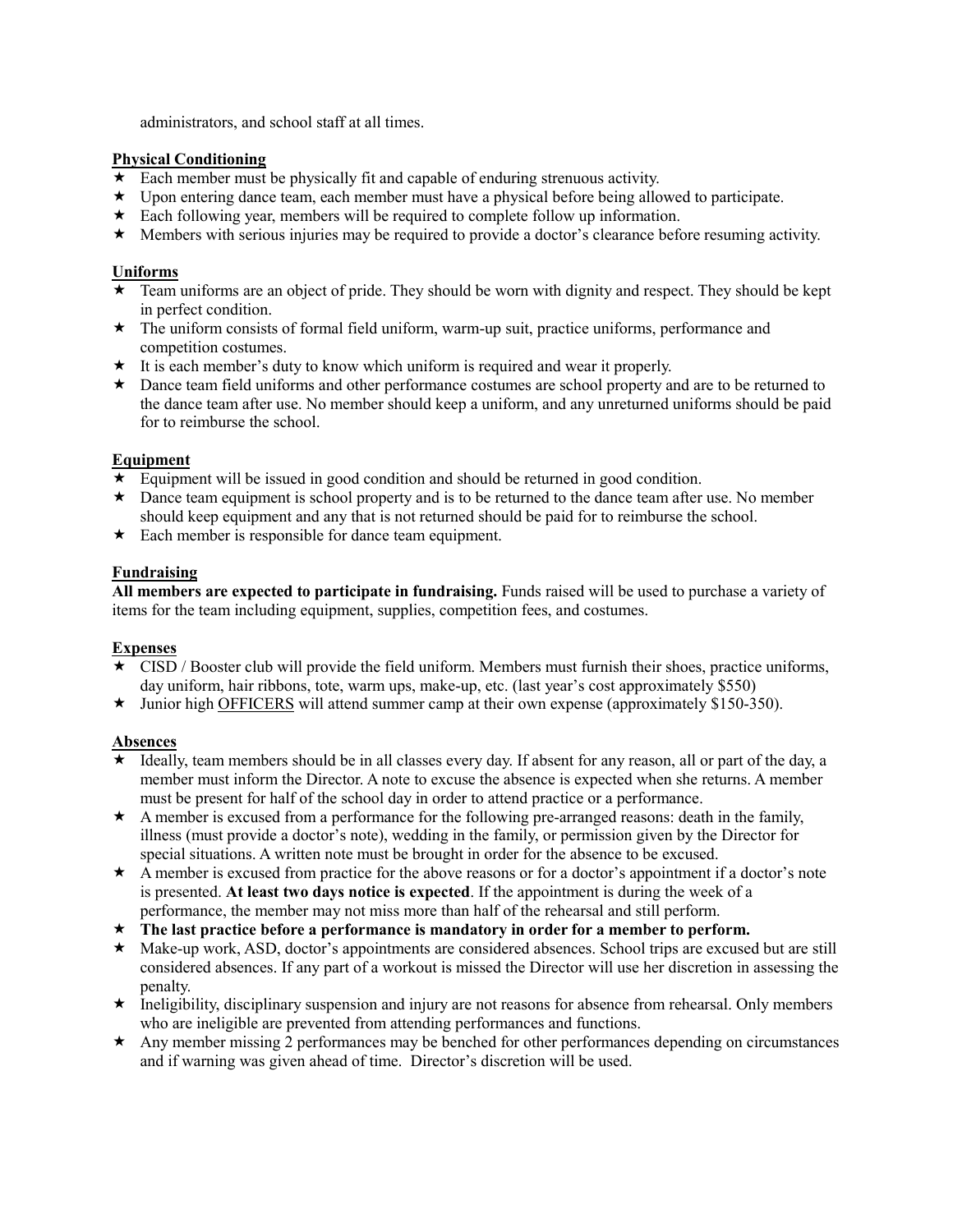administrators, and school staff at all times.

#### **Physical Conditioning**

- $\star$  Each member must be physically fit and capable of enduring strenuous activity.
- $\star$  Upon entering dance team, each member must have a physical before being allowed to participate.
- $\star$  Each following year, members will be required to complete follow up information.
- Members with serious injuries may be required to provide a doctor's clearance before resuming activity.

#### **Uniforms**

- Team uniforms are an object of pride. They should be worn with dignity and respect. They should be kept in perfect condition.
- $\star$  The uniform consists of formal field uniform, warm-up suit, practice uniforms, performance and competition costumes.
- It is each member's duty to know which uniform is required and wear it properly.
- ★ Dance team field uniforms and other performance costumes are school property and are to be returned to the dance team after use. No member should keep a uniform, and any unreturned uniforms should be paid for to reimburse the school.

#### **Equipment**

- $\star$  Equipment will be issued in good condition and should be returned in good condition.
- $\star$  Dance team equipment is school property and is to be returned to the dance team after use. No member should keep equipment and any that is not returned should be paid for to reimburse the school.
- $\star$  Each member is responsible for dance team equipment.

#### **Fundraising**

**All members are expected to participate in fundraising.** Funds raised will be used to purchase a variety of items for the team including equipment, supplies, competition fees, and costumes.

#### **Expenses**

- CISD / Booster club will provide the field uniform. Members must furnish their shoes, practice uniforms, day uniform, hair ribbons, tote, warm ups, make-up, etc. (last year's cost approximately \$550)
- $\star$  Junior high OFFICERS will attend summer camp at their own expense (approximately \$150-350).

### **Absences**

- Ideally, team members should be in all classes every day. If absent for any reason, all or part of the day, a member must inform the Director. A note to excuse the absence is expected when she returns. A member must be present for half of the school day in order to attend practice or a performance.
- $\star$  A member is excused from a performance for the following pre-arranged reasons: death in the family, illness (must provide a doctor's note), wedding in the family, or permission given by the Director for special situations. A written note must be brought in order for the absence to be excused.
- A member is excused from practice for the above reasons or for a doctor's appointment if a doctor's note is presented. **At least two days notice is expected**. If the appointment is during the week of a performance, the member may not miss more than half of the rehearsal and still perform.
- **The last practice before a performance is mandatory in order for a member to perform.**
- Make-up work, ASD, doctor's appointments are considered absences. School trips are excused but are still considered absences. If any part of a workout is missed the Director will use her discretion in assessing the penalty.
- $\star$  Ineligibility, disciplinary suspension and injury are not reasons for absence from rehearsal. Only members who are ineligible are prevented from attending performances and functions.
- Any member missing 2 performances may be benched for other performances depending on circumstances and if warning was given ahead of time. Director's discretion will be used.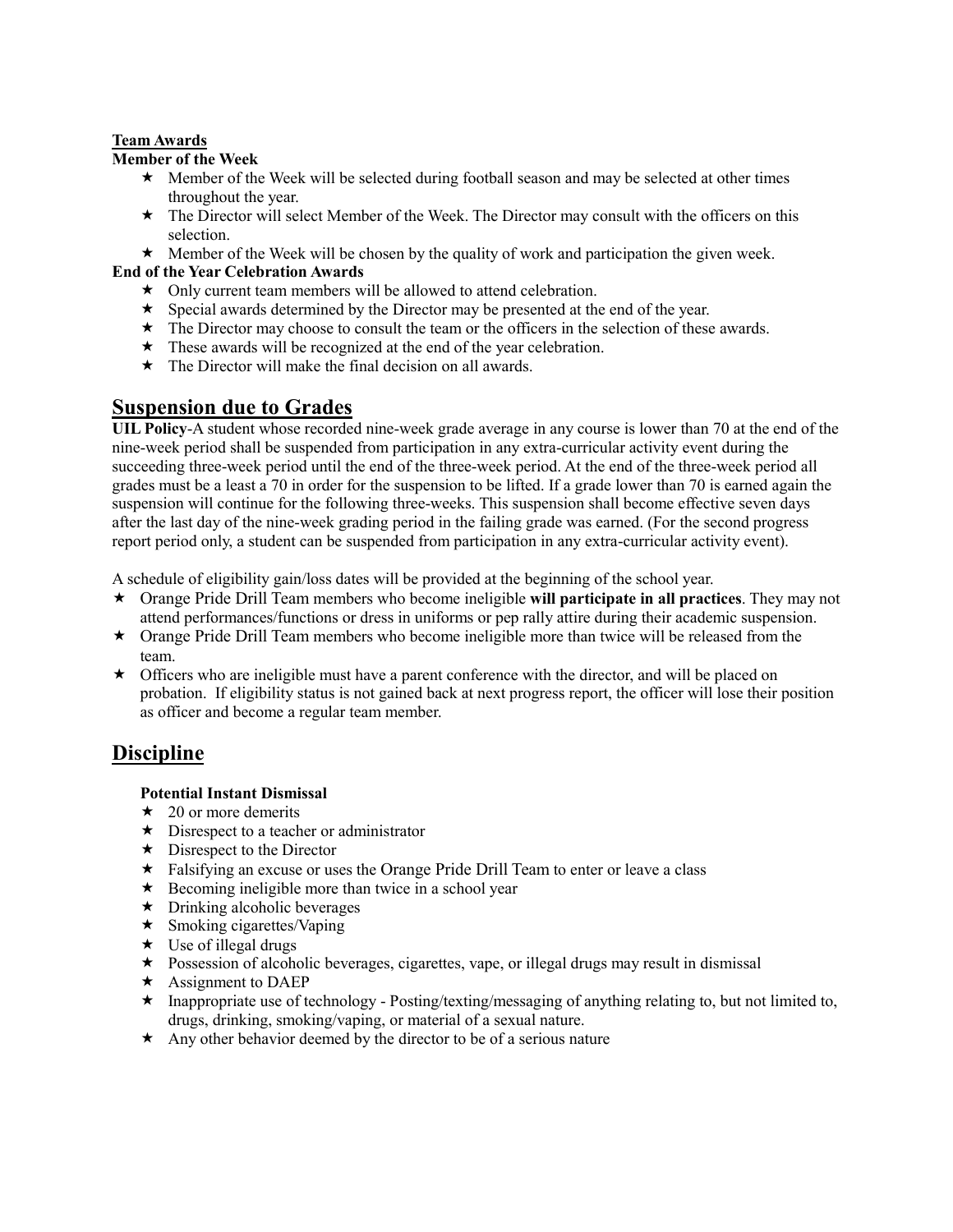#### **Team Awards**

#### **Member of the Week**

- $\star$  Member of the Week will be selected during football season and may be selected at other times throughout the year.
- \* The Director will select Member of the Week. The Director may consult with the officers on this selection.
- $\star$  Member of the Week will be chosen by the quality of work and participation the given week.

### **End of the Year Celebration Awards**

- $\star$  Only current team members will be allowed to attend celebration.
- $\star$  Special awards determined by the Director may be presented at the end of the year.
- $\star$  The Director may choose to consult the team or the officers in the selection of these awards.
- $\star$  These awards will be recognized at the end of the year celebration.
- $\star$  The Director will make the final decision on all awards.

### **Suspension due to Grades**

**UIL Policy**-A student whose recorded nine-week grade average in any course is lower than 70 at the end of the nine-week period shall be suspended from participation in any extra-curricular activity event during the succeeding three-week period until the end of the three-week period. At the end of the three-week period all grades must be a least a 70 in order for the suspension to be lifted. If a grade lower than 70 is earned again the suspension will continue for the following three-weeks. This suspension shall become effective seven days after the last day of the nine-week grading period in the failing grade was earned. (For the second progress report period only, a student can be suspended from participation in any extra-curricular activity event).

A schedule of eligibility gain/loss dates will be provided at the beginning of the school year.

- Orange Pride Drill Team members who become ineligible **will participate in all practices**. They may not attend performances/functions or dress in uniforms or pep rally attire during their academic suspension.
- $\star$  Orange Pride Drill Team members who become ineligible more than twice will be released from the team.
- Officers who are ineligible must have a parent conference with the director, and will be placed on probation. If eligibility status is not gained back at next progress report, the officer will lose their position as officer and become a regular team member.

# **Discipline**

#### **Potential Instant Dismissal**

- $\star$  20 or more demerits
- $\star$  Disrespect to a teacher or administrator
- $\star$  Disrespect to the Director
- \* Falsifying an excuse or uses the Orange Pride Drill Team to enter or leave a class
- $\star$  Becoming ineligible more than twice in a school year
- $\star$  Drinking alcoholic beverages
- $\star$  Smoking cigarettes/Vaping
- $\star$  Use of illegal drugs
- $\star$  Possession of alcoholic beverages, cigarettes, vape, or illegal drugs may result in dismissal
- $\star$  Assignment to DAEP
- $\star$  Inappropriate use of technology Posting/texting/messaging of anything relating to, but not limited to, drugs, drinking, smoking/vaping, or material of a sexual nature.
- $\star$  Any other behavior deemed by the director to be of a serious nature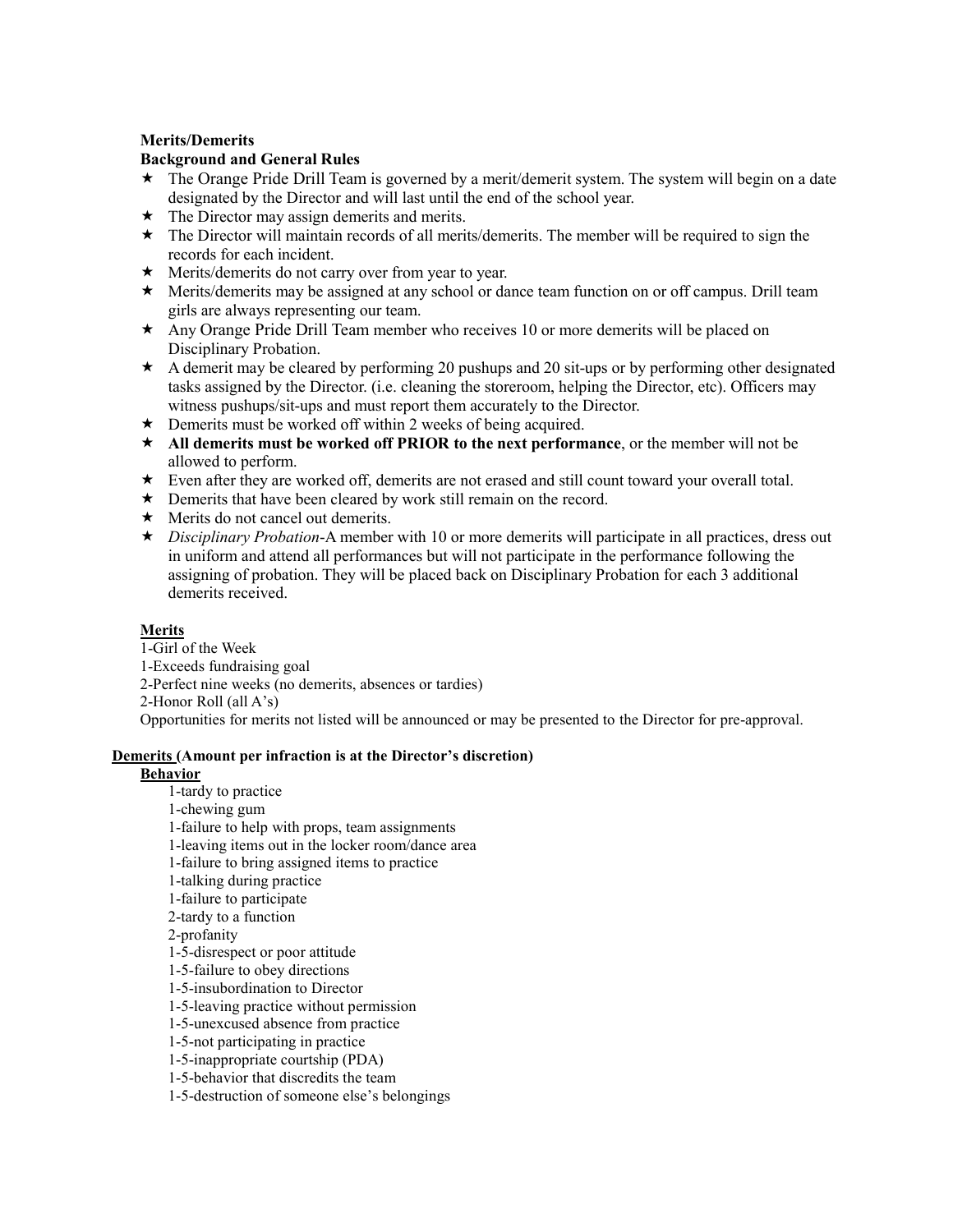#### **Merits/Demerits**

#### **Background and General Rules**

- \* The Orange Pride Drill Team is governed by a merit/demerit system. The system will begin on a date designated by the Director and will last until the end of the school year.
- $\star$  The Director may assign demerits and merits.
- \* The Director will maintain records of all merits/demerits. The member will be required to sign the records for each incident.
- Merits/demerits do not carry over from year to year.
- Merits/demerits may be assigned at any school or dance team function on or off campus. Drill team girls are always representing our team.
- Any Orange Pride Drill Team member who receives 10 or more demerits will be placed on Disciplinary Probation.
- $\star$  A demerit may be cleared by performing 20 pushups and 20 sit-ups or by performing other designated tasks assigned by the Director. (i.e. cleaning the storeroom, helping the Director, etc). Officers may witness pushups/sit-ups and must report them accurately to the Director.
- $\star$  Demerits must be worked off within 2 weeks of being acquired.
- **All demerits must be worked off PRIOR to the next performance**, or the member will not be allowed to perform.
- Even after they are worked off, demerits are not erased and still count toward your overall total.
- \* Demerits that have been cleared by work still remain on the record.
- $\star$  Merits do not cancel out demerits.
- ★ *Disciplinary Probation*-A member with 10 or more demerits will participate in all practices, dress out in uniform and attend all performances but will not participate in the performance following the assigning of probation. They will be placed back on Disciplinary Probation for each 3 additional demerits received.

#### **Merits**

1-Girl of the Week

- 1-Exceeds fundraising goal
- 2-Perfect nine weeks (no demerits, absences or tardies)

2-Honor Roll (all A's)

Opportunities for merits not listed will be announced or may be presented to the Director for pre-approval.

#### **Demerits (Amount per infraction is at the Director's discretion)**

#### **Behavior**

1-tardy to practice 1-chewing gum 1-failure to help with props, team assignments 1-leaving items out in the locker room/dance area 1-failure to bring assigned items to practice 1-talking during practice 1-failure to participate 2-tardy to a function 2-profanity 1-5-disrespect or poor attitude 1-5-failure to obey directions 1-5-insubordination to Director 1-5-leaving practice without permission 1-5-unexcused absence from practice 1-5-not participating in practice 1-5-inappropriate courtship (PDA) 1-5-behavior that discredits the team 1-5-destruction of someone else's belongings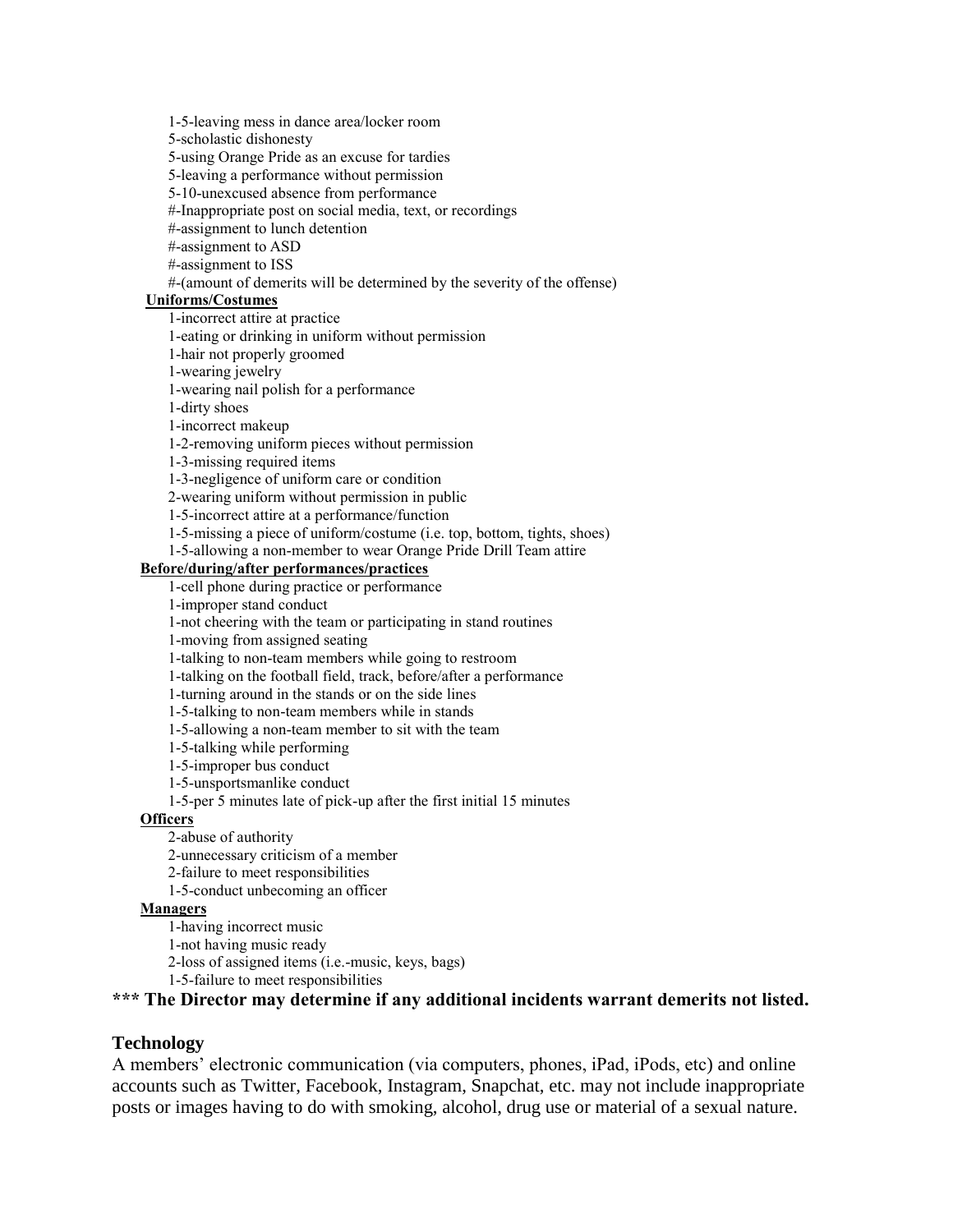1-5-leaving mess in dance area/locker room

5-scholastic dishonesty

5-using Orange Pride as an excuse for tardies

5-leaving a performance without permission

5-10-unexcused absence from performance

#-Inappropriate post on social media, text, or recordings

#-assignment to lunch detention

#-assignment to ASD

#-assignment to ISS

#-(amount of demerits will be determined by the severity of the offense)

### **Uniforms/Costumes**

1-incorrect attire at practice

1-eating or drinking in uniform without permission

1-hair not properly groomed

1-wearing jewelry

1-wearing nail polish for a performance

1-dirty shoes

1-incorrect makeup

1-2-removing uniform pieces without permission

1-3-missing required items

1-3-negligence of uniform care or condition

2-wearing uniform without permission in public

1-5-incorrect attire at a performance/function

1-5-missing a piece of uniform/costume (i.e. top, bottom, tights, shoes)

1-5-allowing a non-member to wear Orange Pride Drill Team attire

#### **Before/during/after performances/practices**

1-cell phone during practice or performance

1-improper stand conduct

1-not cheering with the team or participating in stand routines

1-moving from assigned seating

1-talking to non-team members while going to restroom

1-talking on the football field, track, before/after a performance

1-turning around in the stands or on the side lines

1-5-talking to non-team members while in stands

1-5-allowing a non-team member to sit with the team

1-5-talking while performing

1-5-improper bus conduct

1-5-unsportsmanlike conduct

1-5-per 5 minutes late of pick-up after the first initial 15 minutes

#### **Officers**

2-abuse of authority

2-unnecessary criticism of a member

2-failure to meet responsibilities

1-5-conduct unbecoming an officer

### **Managers**

1-having incorrect music

1-not having music ready

2-loss of assigned items (i.e.-music, keys, bags)

1-5-failure to meet responsibilities

**\*\*\* The Director may determine if any additional incidents warrant demerits not listed.**

#### **Technology**

A members' electronic communication (via computers, phones, iPad, iPods, etc) and online accounts such as Twitter, Facebook, Instagram, Snapchat, etc. may not include inappropriate posts or images having to do with smoking, alcohol, drug use or material of a sexual nature.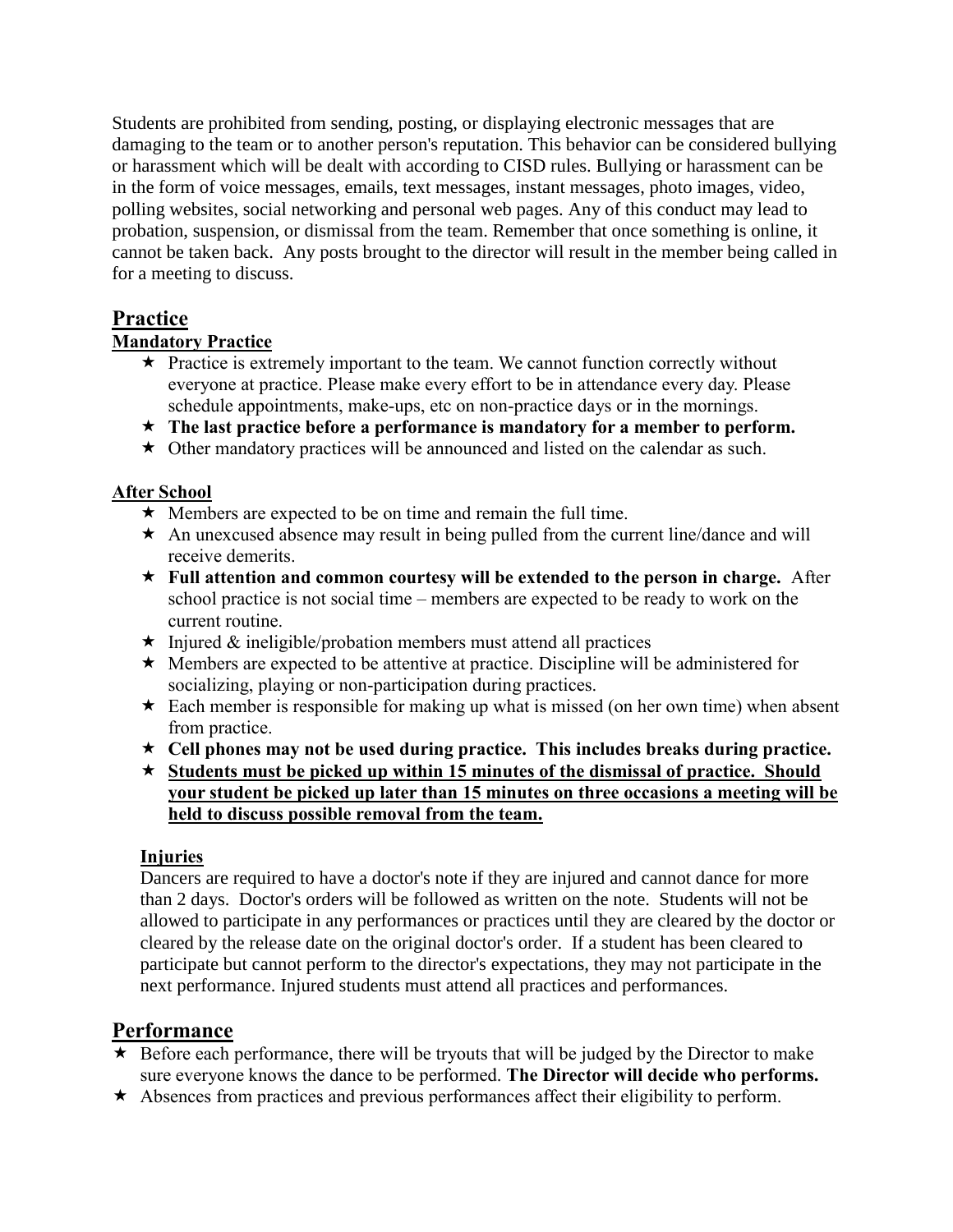Students are prohibited from sending, posting, or displaying electronic messages that are damaging to the team or to another person's reputation. This behavior can be considered bullying or harassment which will be dealt with according to CISD rules. Bullying or harassment can be in the form of voice messages, emails, text messages, instant messages, photo images, video, polling websites, social networking and personal web pages. Any of this conduct may lead to probation, suspension, or dismissal from the team. Remember that once something is online, it cannot be taken back. Any posts brought to the director will result in the member being called in for a meeting to discuss.

# **Practice**

### **Mandatory Practice**

- $\star$  Practice is extremely important to the team. We cannot function correctly without everyone at practice. Please make every effort to be in attendance every day. Please schedule appointments, make-ups, etc on non-practice days or in the mornings.
- **The last practice before a performance is mandatory for a member to perform.**
- $\star$  Other mandatory practices will be announced and listed on the calendar as such.

### **After School**

- $\star$  Members are expected to be on time and remain the full time.
- $\star$  An unexcused absence may result in being pulled from the current line/dance and will receive demerits.
- **Full attention and common courtesy will be extended to the person in charge.** After school practice is not social time – members are expected to be ready to work on the current routine.
- $\star$  Injured & ineligible/probation members must attend all practices
- $\star$  Members are expected to be attentive at practice. Discipline will be administered for socializing, playing or non-participation during practices.
- $\star$  Each member is responsible for making up what is missed (on her own time) when absent from practice.
- **Cell phones may not be used during practice. This includes breaks during practice.**
- **Students must be picked up within 15 minutes of the dismissal of practice. Should your student be picked up later than 15 minutes on three occasions a meeting will be held to discuss possible removal from the team.**

### **Injuries**

Dancers are required to have a doctor's note if they are injured and cannot dance for more than 2 days. Doctor's orders will be followed as written on the note. Students will not be allowed to participate in any performances or practices until they are cleared by the doctor or cleared by the release date on the original doctor's order. If a student has been cleared to participate but cannot perform to the director's expectations, they may not participate in the next performance. Injured students must attend all practices and performances.

# **Performance**

- $\star$  Before each performance, there will be tryouts that will be judged by the Director to make sure everyone knows the dance to be performed. **The Director will decide who performs.**
- $\star$  Absences from practices and previous performances affect their eligibility to perform.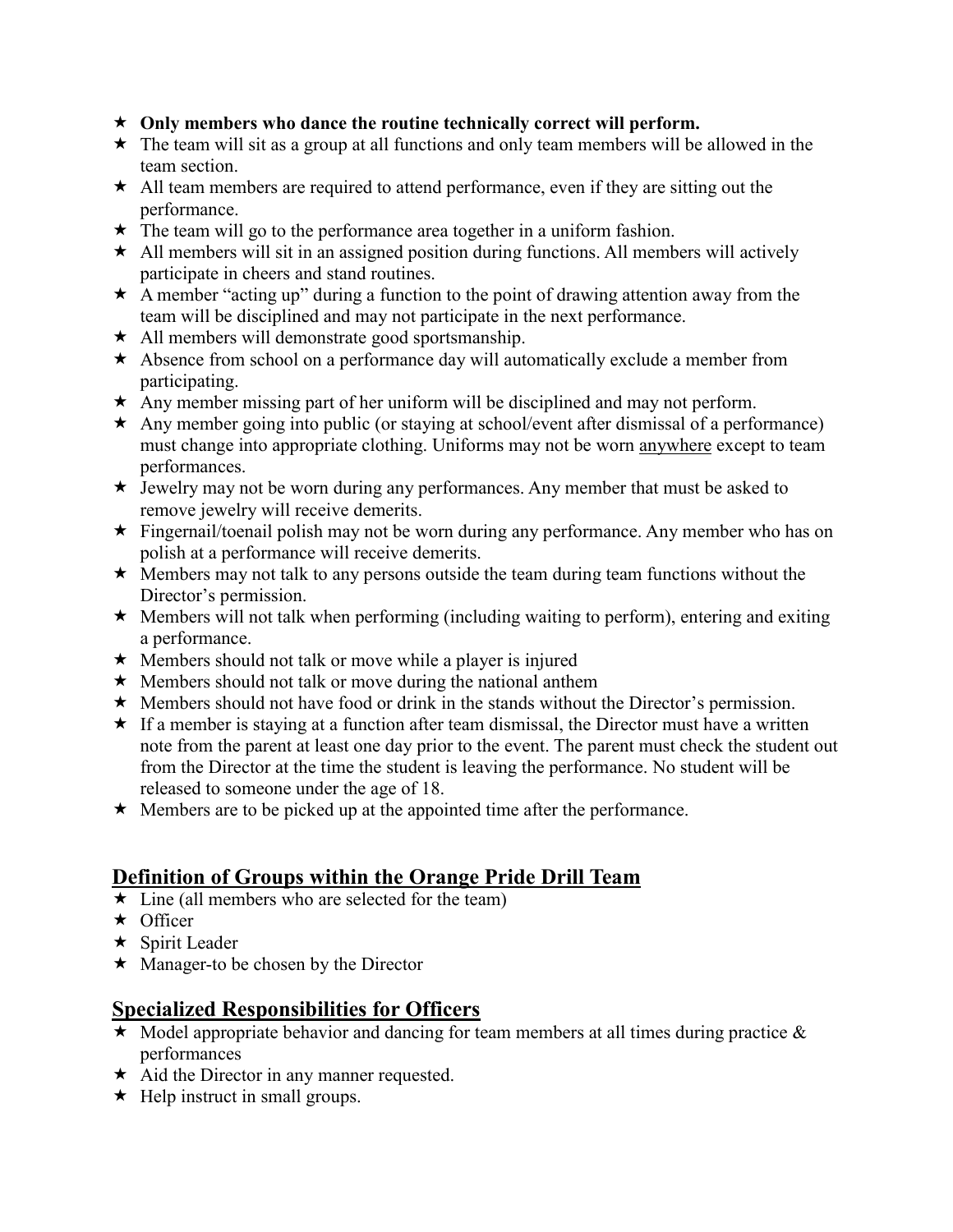- **Only members who dance the routine technically correct will perform.**
- $\star$  The team will sit as a group at all functions and only team members will be allowed in the team section.
- $\star$  All team members are required to attend performance, even if they are sitting out the performance.
- $\star$  The team will go to the performance area together in a uniform fashion.
- $\star$  All members will sit in an assigned position during functions. All members will actively participate in cheers and stand routines.
- $\star$  A member "acting up" during a function to the point of drawing attention away from the team will be disciplined and may not participate in the next performance.
- $\star$  All members will demonstrate good sportsmanship.
- \* Absence from school on a performance day will automatically exclude a member from participating.
- $\star$  Any member missing part of her uniform will be disciplined and may not perform.
- $\star$  Any member going into public (or staying at school/event after dismissal of a performance) must change into appropriate clothing. Uniforms may not be worn anywhere except to team performances.
- $\star$  Jewelry may not be worn during any performances. Any member that must be asked to remove jewelry will receive demerits.
- $\star$  Fingernail/toenail polish may not be worn during any performance. Any member who has on polish at a performance will receive demerits.
- $\star$  Members may not talk to any persons outside the team during team functions without the Director's permission.
- $\star$  Members will not talk when performing (including waiting to perform), entering and exiting a performance.
- $\star$  Members should not talk or move while a player is injured
- $\star$  Members should not talk or move during the national anthem
- $\star$  Members should not have food or drink in the stands without the Director's permission.
- $\star$  If a member is staying at a function after team dismissal, the Director must have a written note from the parent at least one day prior to the event. The parent must check the student out from the Director at the time the student is leaving the performance. No student will be released to someone under the age of 18.
- $\star$  Members are to be picked up at the appointed time after the performance.

# **Definition of Groups within the Orange Pride Drill Team**

- $\star$  Line (all members who are selected for the team)
- $\star$  Officer
- $\star$  Spirit Leader
- $\star$  Manager-to be chosen by the Director

# **Specialized Responsibilities for Officers**

- $\star$  Model appropriate behavior and dancing for team members at all times during practice  $\&$ performances
- $\star$  Aid the Director in any manner requested.
- $\star$  Help instruct in small groups.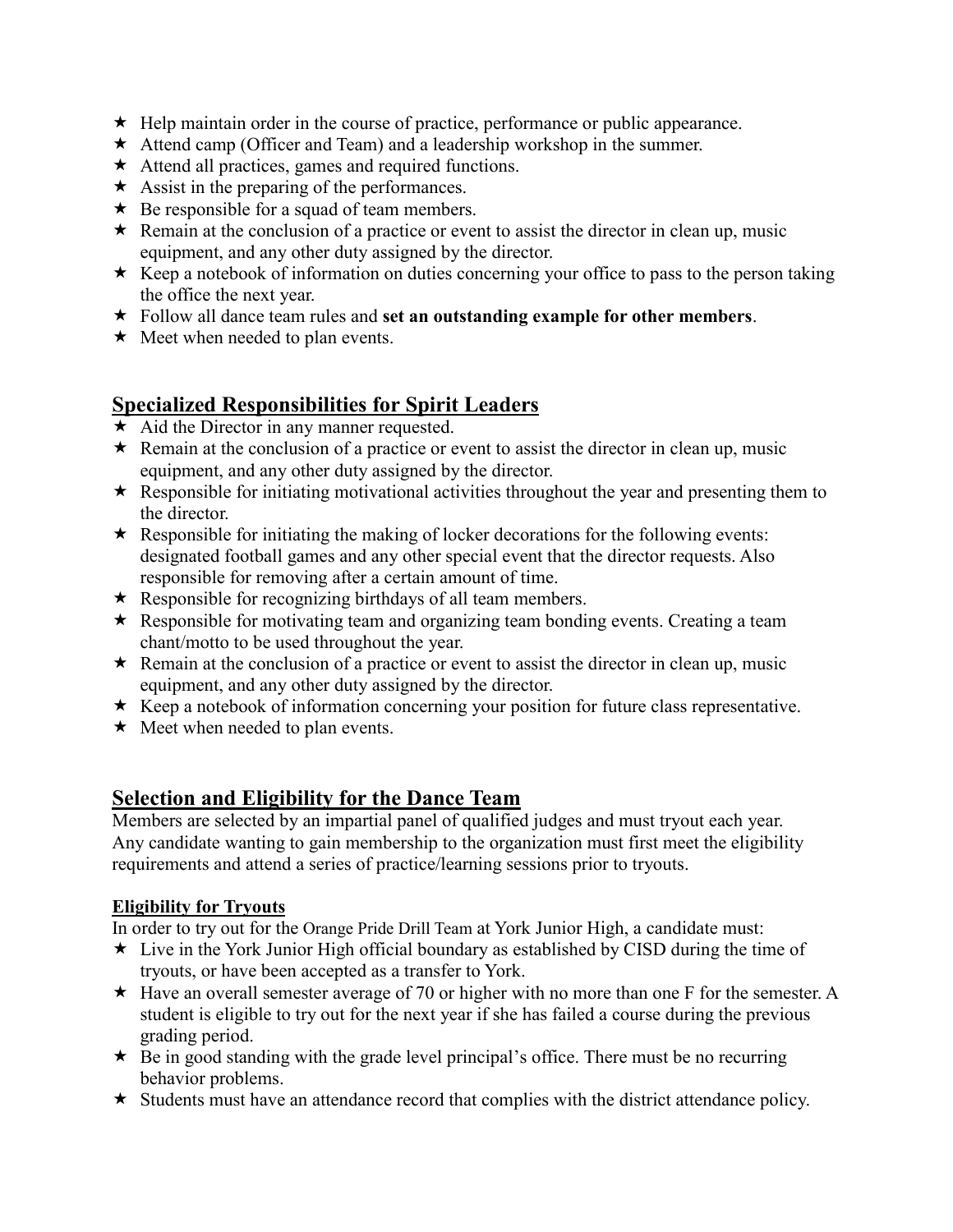- $\star$  Help maintain order in the course of practice, performance or public appearance.
- $\star$  Attend camp (Officer and Team) and a leadership workshop in the summer.
- $\star$  Attend all practices, games and required functions.
- $\star$  Assist in the preparing of the performances.
- $\star$  Be responsible for a squad of team members.
- $\star$  Remain at the conclusion of a practice or event to assist the director in clean up, music equipment, and any other duty assigned by the director.
- $\star$  Keep a notebook of information on duties concerning your office to pass to the person taking the office the next year.
- Follow all dance team rules and **set an outstanding example for other members**.
- $\star$  Meet when needed to plan events.

# **Specialized Responsibilities for Spirit Leaders**

- $\star$  Aid the Director in any manner requested.
- $\star$  Remain at the conclusion of a practice or event to assist the director in clean up, music equipment, and any other duty assigned by the director.
- $\star$  Responsible for initiating motivational activities throughout the year and presenting them to the director.
- \* Responsible for initiating the making of locker decorations for the following events: designated football games and any other special event that the director requests. Also responsible for removing after a certain amount of time.
- $\star$  Responsible for recognizing birthdays of all team members.
- \* Responsible for motivating team and organizing team bonding events. Creating a team chant/motto to be used throughout the year.
- $\star$  Remain at the conclusion of a practice or event to assist the director in clean up, music equipment, and any other duty assigned by the director.
- $\star$  Keep a notebook of information concerning your position for future class representative.
- $\star$  Meet when needed to plan events.

# **Selection and Eligibility for the Dance Team**

Members are selected by an impartial panel of qualified judges and must tryout each year. Any candidate wanting to gain membership to the organization must first meet the eligibility requirements and attend a series of practice/learning sessions prior to tryouts.

### **Eligibility for Tryouts**

In order to try out for the Orange Pride Drill Team at York Junior High, a candidate must:

- $\star$  Live in the York Junior High official boundary as established by CISD during the time of tryouts, or have been accepted as a transfer to York.
- $\star$  Have an overall semester average of 70 or higher with no more than one F for the semester. A student is eligible to try out for the next year if she has failed a course during the previous grading period.
- $\star$  Be in good standing with the grade level principal's office. There must be no recurring behavior problems.
- $\star$  Students must have an attendance record that complies with the district attendance policy.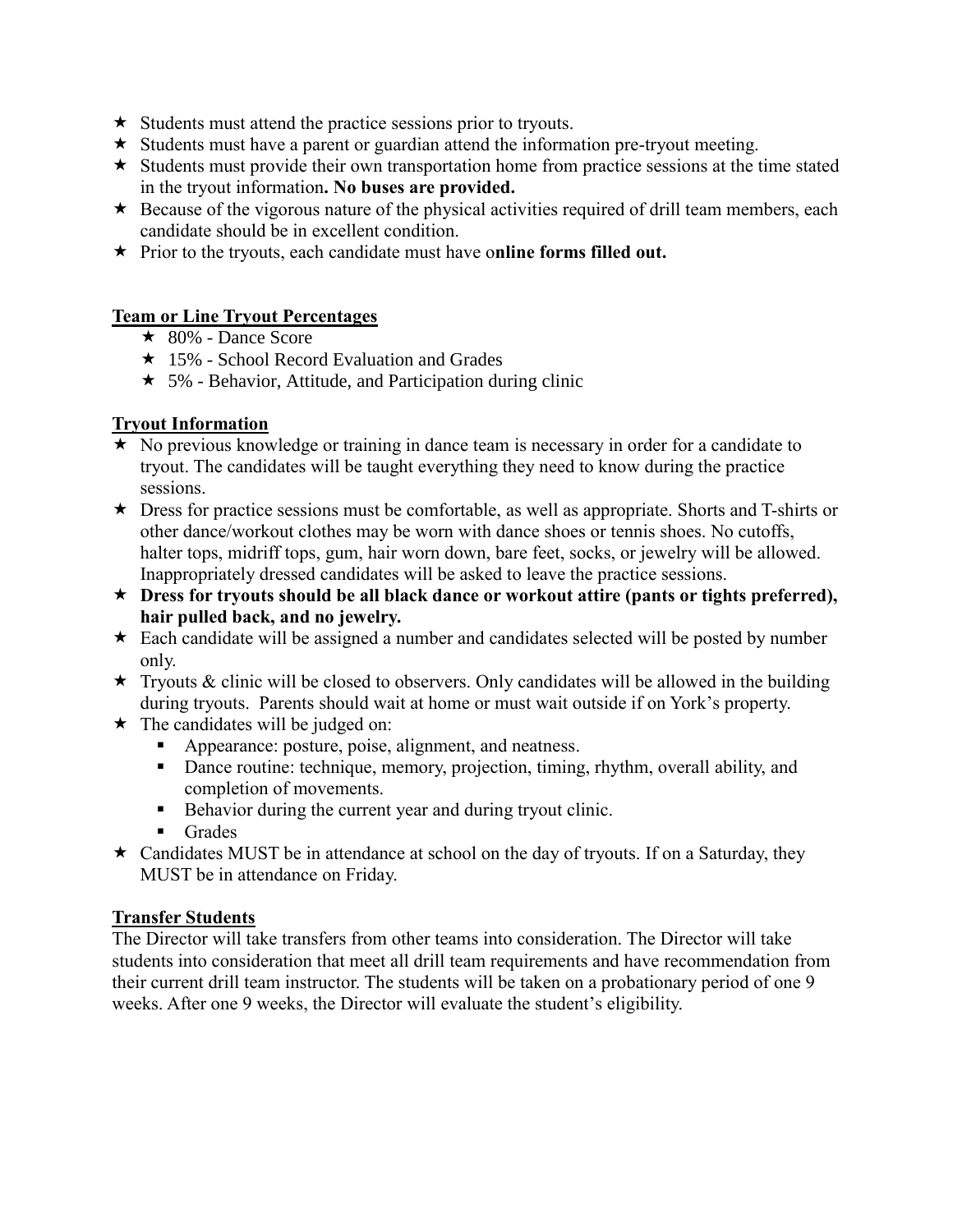- $\star$  Students must attend the practice sessions prior to tryouts.
- $\star$  Students must have a parent or guardian attend the information pre-tryout meeting.
- $\star$  Students must provide their own transportation home from practice sessions at the time stated in the tryout information**. No buses are provided.**
- $\star$  Because of the vigorous nature of the physical activities required of drill team members, each candidate should be in excellent condition.
- Prior to the tryouts, each candidate must have o**nline forms filled out.**

### **Team or Line Tryout Percentages**

- $\star$  80% Dance Score
- $\star$  15% School Record Evaluation and Grades
- $\star$  5% Behavior, Attitude, and Participation during clinic

### **Tryout Information**

- $\star$  No previous knowledge or training in dance team is necessary in order for a candidate to tryout. The candidates will be taught everything they need to know during the practice sessions.
- $\star$  Dress for practice sessions must be comfortable, as well as appropriate. Shorts and T-shirts or other dance/workout clothes may be worn with dance shoes or tennis shoes. No cutoffs, halter tops, midriff tops, gum, hair worn down, bare feet, socks, or jewelry will be allowed. Inappropriately dressed candidates will be asked to leave the practice sessions.
- **Dress for tryouts should be all black dance or workout attire (pants or tights preferred), hair pulled back, and no jewelry.**
- $\star$  Each candidate will be assigned a number and candidates selected will be posted by number only.
- $\star$  Tryouts & clinic will be closed to observers. Only candidates will be allowed in the building during tryouts. Parents should wait at home or must wait outside if on York's property.
- $\star$  The candidates will be judged on:
	- Appearance: posture, poise, alignment, and neatness.
	- Dance routine: technique, memory, projection, timing, rhythm, overall ability, and completion of movements.
	- Behavior during the current year and during tryout clinic.
	- Grades
- \* Candidates MUST be in attendance at school on the day of tryouts. If on a Saturday, they MUST be in attendance on Friday.

### **Transfer Students**

The Director will take transfers from other teams into consideration. The Director will take students into consideration that meet all drill team requirements and have recommendation from their current drill team instructor. The students will be taken on a probationary period of one 9 weeks. After one 9 weeks, the Director will evaluate the student's eligibility.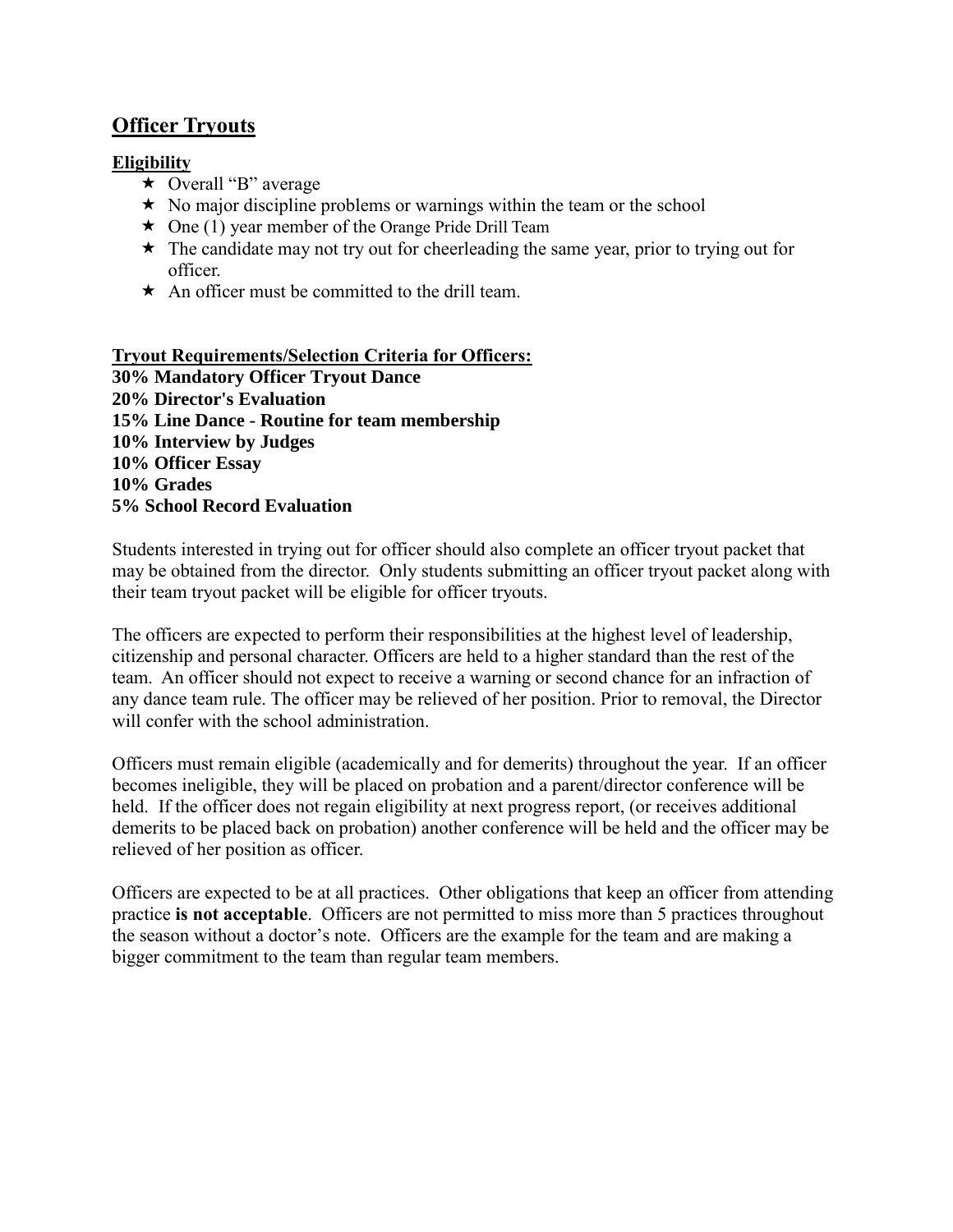# **Officer Tryouts**

### **Eligibility**

- $\star$  Overall "B" average
- $\star$  No major discipline problems or warnings within the team or the school
- $\star$  One (1) year member of the Orange Pride Drill Team
- $\star$  The candidate may not try out for cheerleading the same year, prior to trying out for officer.
- $\star$  An officer must be committed to the drill team.

### **Tryout Requirements/Selection Criteria for Officers: 30% Mandatory Officer Tryout Dance 20% Director's Evaluation 15% Line Dance - Routine for team membership 10% Interview by Judges 10% Officer Essay 10% Grades 5% School Record Evaluation**

Students interested in trying out for officer should also complete an officer tryout packet that may be obtained from the director. Only students submitting an officer tryout packet along with their team tryout packet will be eligible for officer tryouts.

The officers are expected to perform their responsibilities at the highest level of leadership, citizenship and personal character. Officers are held to a higher standard than the rest of the team. An officer should not expect to receive a warning or second chance for an infraction of any dance team rule. The officer may be relieved of her position. Prior to removal, the Director will confer with the school administration.

Officers must remain eligible (academically and for demerits) throughout the year. If an officer becomes ineligible, they will be placed on probation and a parent/director conference will be held. If the officer does not regain eligibility at next progress report, (or receives additional demerits to be placed back on probation) another conference will be held and the officer may be relieved of her position as officer.

Officers are expected to be at all practices. Other obligations that keep an officer from attending practice **is not acceptable**. Officers are not permitted to miss more than 5 practices throughout the season without a doctor's note. Officers are the example for the team and are making a bigger commitment to the team than regular team members.